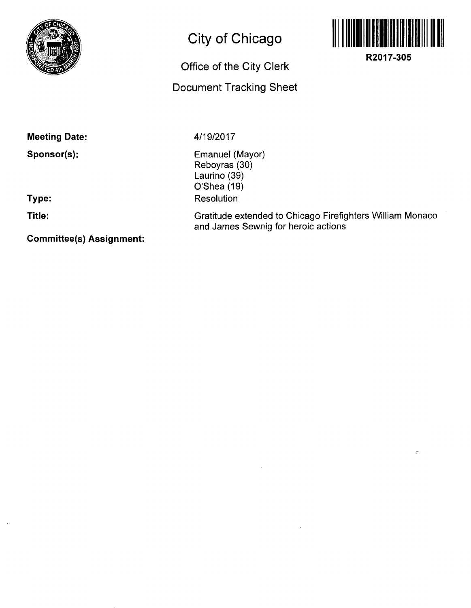

# **City of Chicago**

## Office of the City Clerk

## Document Tracking Sheet



**R2017-305** 

**Meeting Date:** 

**Sponsor(s):** 

**Type:** 

**Title:** 

4/19/2017

Emanuel (Mayor) Reboyras (30) Laurino (39) O'Shea (19) Resolution

Gratitude extended to Chicago Firefighters William Monaco and James Sewnig for heroic actions

**Committee(s) Assignment:**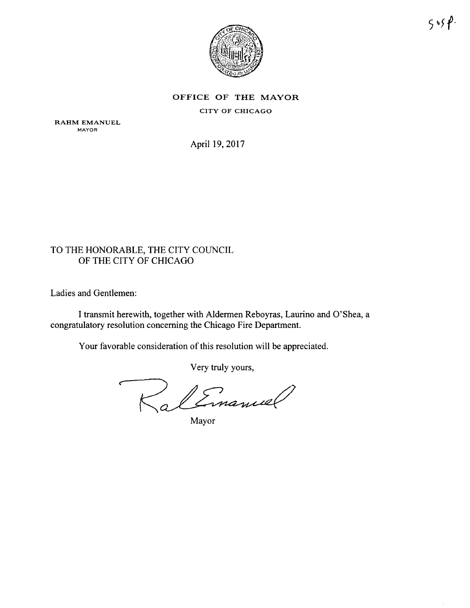

OFFICE OF THE MAYOR CITY OF CHICAGO

RAHM EMANUEL MAYOR

April 19,2017

#### TO THE HONORABLE, THE CITY COUNCIL OF THE CITY OF CHICAGO

Ladies and Gentlemen:

I transmit herewith, together with Aldermen Reboyras, Laurino and O'Shea, a congratulatory resolution conceming the Chicago Fire Department.

Your favorable consideration of this resolution will be appreciated.

Very truly yours,

Linamiel

Mayor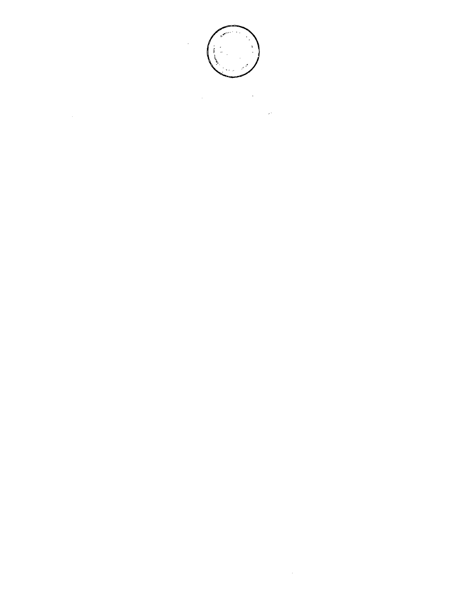

 $\label{eq:2.1} \frac{1}{\sqrt{2}}\int_{\mathbb{R}^3}\frac{1}{\sqrt{2}}\left(\frac{1}{\sqrt{2}}\right)^2\frac{1}{\sqrt{2}}\left(\frac{1}{\sqrt{2}}\right)^2\frac{1}{\sqrt{2}}\left(\frac{1}{\sqrt{2}}\right)^2\frac{1}{\sqrt{2}}\left(\frac{1}{\sqrt{2}}\right)^2.$ 

 $\label{eq:2.1} \mathcal{L}(\mathcal{L}^{\text{max}}_{\mathcal{L}}(\mathcal{L}^{\text{max}}_{\mathcal{L}}),\mathcal{L}^{\text{max}}_{\mathcal{L}^{\text{max}}_{\mathcal{L}}})$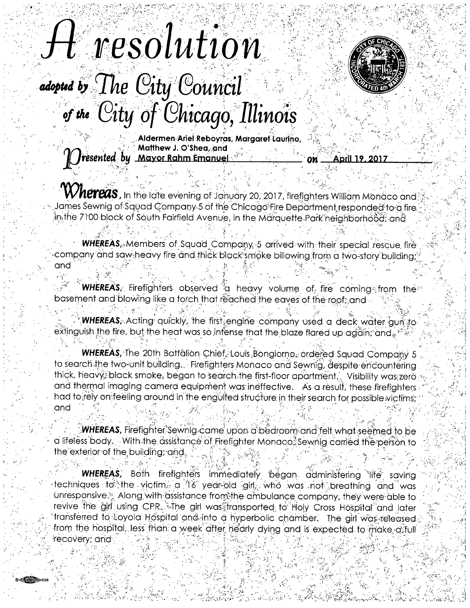# t resolution



# adopted by The City Council of the City of Chicago, Illinois

*^presented by Mayor Rahm Emanuel -- ' April 19.2017* , Aldermen Ariel Reboyras, Margaref Laurjrio, Matthew J. O'Shea, and

 $W$ hereas , in the Idte evening of Jahudry 20, 2017, firefighters William Mondco and James Sewnig of Squad Company 5 of the Chicago<sup>s</sup>Fire Department, responded to a fire  $\rho_{\text{in}}$ the Z100 block of South Fairfield Avenue, in the Marquette.Park neighborhood; and

WHEREAS,. Members of Squad Company 5 arrived with their special rescue fire company and saw heavy fire and thick black smoke billowing from a two-story building; and" . v-, ' .\_• : . • ".tS... ^.y-..

WHEREAS, Firefighters observed a heavy volume of fire comings from the basement and blowing like a torch that reached the eaves of the roof; and

WHEREAS, Acting quickly, the first; engine company used a deck water quinto extinguish the fire, but the heat was so infense that the blaze flared up again; and  $_{\ast}$  :

WHEREAS, The 20th Battalion Chief, Louis Bongiorno, ordered Sauad Company 5 to search..the two-unit building. Firefighters Monaco and Sewnig, despite-encountering thick, heavy, black smoke, began to search the first-floor apartment. . Visibility was;zero and thermal imaging camera equipment was ineffective. As a result, these firefighters had to rely on feeling around in the engulfed structure in their search for possible victims; [**and** - ) - 월드 스토, 센티, 에티스 - 諸/스크(鼠, 도어르시, 스텔 - 스토, 스스트, 스스트, 선택, 정상)

WHEREAS, Firefighter Sewnig came upon a bedroom and felt what seemed to be a lifeless body. With the assistance of Firefighter Monaco; Sewhig carried the person to the exterior of the building; and.

WHEREAS, Both firefighters immediately began ddministering life saving  $\cdot$ techniques +b $\mathbb{N}$ the victim, q  $\mathbb{N}$  year-old  $\cdot$ girl, who was nof $\cdot$ breathing and was unresponsive.: Along with assistance from the ambulance company, they were able to revive the girl using CPR. The girl was transported to Holy Cross Hospital and later 'transferred to Loyola Hospital and into a hyperbolic chamber. The girl was released. from the hospital, less fhan a week after hearly dying and is expected to make gifull recovery; and